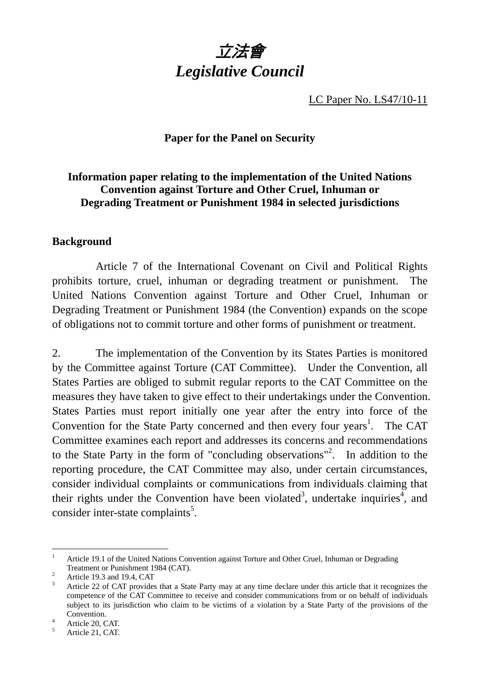

LC Paper No. LS47/10-11

#### **Paper for the Panel on Security**

#### **Information paper relating to the implementation of the United Nations Convention against Torture and Other Cruel, Inhuman or Degrading Treatment or Punishment 1984 in selected jurisdictions**

#### **Background**

 Article 7 of the International Covenant on Civil and Political Rights prohibits torture, cruel, inhuman or degrading treatment or punishment. The United Nations Convention against Torture and Other Cruel, Inhuman or Degrading Treatment or Punishment 1984 (the Convention) expands on the scope of obligations not to commit torture and other forms of punishment or treatment.

2. The implementation of the Convention by its States Parties is monitored by the Committee against Torture (CAT Committee). Under the Convention, all States Parties are obliged to submit regular reports to the CAT Committee on the measures they have taken to give effect to their undertakings under the Convention. States Parties must report initially one year after the entry into force of the Convention for the State Party concerned and then every four years<sup>1</sup>. The CAT Committee examines each report and addresses its concerns and recommendations to the State Party in the form of "concluding observations"<sup>2</sup>. In addition to the reporting procedure, the CAT Committee may also, under certain circumstances, consider individual complaints or communications from individuals claiming that their rights under the Convention have been violated<sup>3</sup>, undertake inquiries<sup>4</sup>, and consider inter-state complaints<sup>5</sup>.

l

<sup>1</sup> Article 19.1 of the United Nations Convention against Torture and Other Cruel, Inhuman or Degrading Treatment or Punishment 1984 (CAT).

Article 19.3 and 19.4, CAT

<sup>3</sup> Article 22 of CAT provides that a State Party may at any time declare under this article that it recognizes the competence of the CAT Committee to receive and consider communications from or on behalf of individuals subject to its jurisdiction who claim to be victims of a violation by a State Party of the provisions of the Convention.

Article 20, CAT.

<sup>5</sup> Article 21, CAT.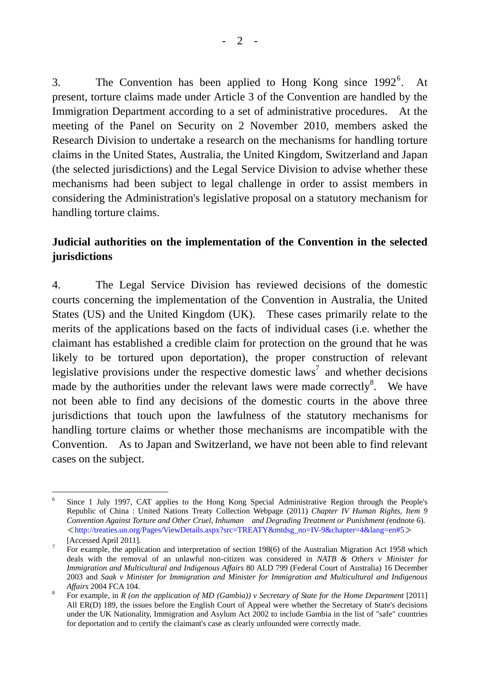3. The Convention has been applied to Hong Kong since  $1992^6$ . . At present, torture claims made under Article 3 of the Convention are handled by the Immigration Department according to a set of administrative procedures. At the meeting of the Panel on Security on 2 November 2010, members asked the Research Division to undertake a research on the mechanisms for handling torture claims in the United States, Australia, the United Kingdom, Switzerland and Japan (the selected jurisdictions) and the Legal Service Division to advise whether these mechanisms had been subject to legal challenge in order to assist members in considering the Administration's legislative proposal on a statutory mechanism for handling torture claims.

#### **Judicial authorities on the implementation of the Convention in the selected jurisdictions**

4. The Legal Service Division has reviewed decisions of the domestic courts concerning the implementation of the Convention in Australia, the United States (US) and the United Kingdom (UK). These cases primarily relate to the merits of the applications based on the facts of individual cases (i.e. whether the claimant has established a credible claim for protection on the ground that he was likely to be tortured upon deportation), the proper construction of relevant legislative provisions under the respective domestic laws<sup>7</sup> and whether decisions made by the authorities under the relevant laws were made correctly<sup>8</sup>. We have not been able to find any decisions of the domestic courts in the above three jurisdictions that touch upon the lawfulness of the statutory mechanisms for handling torture claims or whether those mechanisms are incompatible with the Convention. As to Japan and Switzerland, we have not been able to find relevant cases on the subject.

l 6 Since 1 July 1997, CAT applies to the Hong Kong Special Administrative Region through the People's Republic of China : United Nations Treaty Collection Webpage (2011) *Chapter IV Human Rights, Item 9 Convention Against Torture and Other Cruel, Inhuman and Degrading Treatment or Punishment (*endnote 6)*.*  ≪http://treaties.un.org/Pages/ViewDetails.aspx?src=TREATY&mtdsg\_no=IV-9&chapter=4&lang=en#5≫  $[Accessed April 2011]$ .

For example, the application and interpretation of section 198(6) of the Australian Migration Act 1958 which deals with the removal of an unlawful non-citizen was considered in *NATB & Others v Minister for Immigration and Multicultural and Indigenous Affairs* 80 ALD 799 (Federal Court of Australia) 16 December 2003 and *Saak v Minister for Immigration and Minister for Immigration and Multicultural and Indigenous Affairs* 2004 FCA 104.

For example, in *R (on the application of MD (Gambia)) v Secretary of State for the Home Department* [2011] All ER(D) 189, the issues before the English Court of Appeal were whether the Secretary of State's decisions under the UK Nationality, Immigration and Asylum Act 2002 to include Gambia in the list of "safe" countries for deportation and to certify the claimant's case as clearly unfounded were correctly made.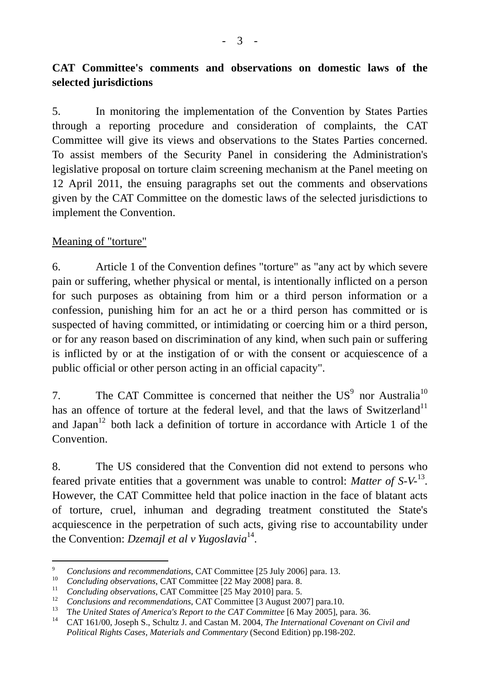# **CAT Committee's comments and observations on domestic laws of the selected jurisdictions**

5. In monitoring the implementation of the Convention by States Parties through a reporting procedure and consideration of complaints, the CAT Committee will give its views and observations to the States Parties concerned. To assist members of the Security Panel in considering the Administration's legislative proposal on torture claim screening mechanism at the Panel meeting on 12 April 2011, the ensuing paragraphs set out the comments and observations given by the CAT Committee on the domestic laws of the selected jurisdictions to implement the Convention.

## Meaning of "torture"

6. Article 1 of the Convention defines "torture" as "any act by which severe pain or suffering, whether physical or mental, is intentionally inflicted on a person for such purposes as obtaining from him or a third person information or a confession, punishing him for an act he or a third person has committed or is suspected of having committed, or intimidating or coercing him or a third person, or for any reason based on discrimination of any kind, when such pain or suffering is inflicted by or at the instigation of or with the consent or acquiescence of a public official or other person acting in an official capacity".

7. The CAT Committee is concerned that neither the  $US<sup>9</sup>$  nor Australia<sup>10</sup> has an offence of torture at the federal level, and that the laws of Switzerland<sup>11</sup> and Japan<sup>12</sup> both lack a definition of torture in accordance with Article 1 of the **Convention** 

8. The US considered that the Convention did not extend to persons who feared private entities that a government was unable to control: *Matter of S-V-*13. However, the CAT Committee held that police inaction in the face of blatant acts of torture, cruel, inhuman and degrading treatment constituted the State's acquiescence in the perpetration of such acts, giving rise to accountability under the Convention: *Dzemajl et al v Yugoslavia*14.

 $\overline{a}$ 9 <sup>9</sup> Conclusions and recommendations, CAT Committee [25 July 2006] para. 13.

<sup>10</sup> *Concluding observations*, CAT Committee [22 May 2008] para. 8.

<sup>&</sup>lt;sup>11</sup> *Concluding observations*, CAT Committee [25 May 2010] para. 5.

<sup>&</sup>lt;sup>12</sup> Conclusions and recommendations, CAT Committee [3 August 2007] para.10.

<sup>&</sup>lt;sup>13</sup> The United States of America's Report to the CAT Committee [6 May 2005], para. 36.<br><sup>14</sup> CAT 161/00, Joseph S. Schultz Land Castan M. 2004. The International Covenant of

<sup>14</sup> CAT 161/00, Joseph S., Schultz J. and Castan M. 2004, *The International Covenant on Civil and Political Rights Cases, Materials and Commentary* (Second Edition) pp.198-202.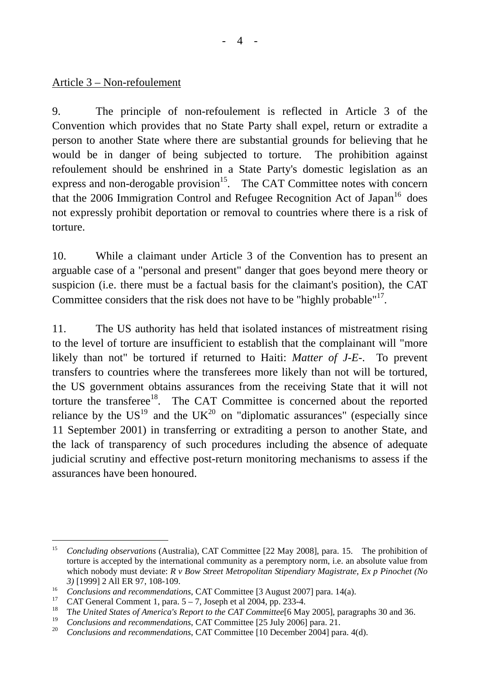Article 3 – Non-refoulement

9. The principle of non-refoulement is reflected in Article 3 of the Convention which provides that no State Party shall expel, return or extradite a person to another State where there are substantial grounds for believing that he would be in danger of being subjected to torture. The prohibition against refoulement should be enshrined in a State Party's domestic legislation as an express and non-derogable provision<sup>15</sup>. The CAT Committee notes with concern that the 2006 Immigration Control and Refugee Recognition Act of Japan $16$  does not expressly prohibit deportation or removal to countries where there is a risk of torture.

10. While a claimant under Article 3 of the Convention has to present an arguable case of a "personal and present" danger that goes beyond mere theory or suspicion (i.e. there must be a factual basis for the claimant's position), the CAT Committee considers that the risk does not have to be "highly probable"<sup>17</sup>.

11. The US authority has held that isolated instances of mistreatment rising to the level of torture are insufficient to establish that the complainant will "more likely than not" be tortured if returned to Haiti: *Matter of J-E-*. To prevent transfers to countries where the transferees more likely than not will be tortured, the US government obtains assurances from the receiving State that it will not torture the transferee<sup>18</sup>. The CAT Committee is concerned about the reported reliance by the  $US^{19}$  and the UK<sup>20</sup> on "diplomatic assurances" (especially since 11 September 2001) in transferring or extraditing a person to another State, and the lack of transparency of such procedures including the absence of adequate judicial scrutiny and effective post-return monitoring mechanisms to assess if the assurances have been honoured.

 $\overline{a}$ 15 *Concluding observations* (Australia), CAT Committee [22 May 2008], para. 15. The prohibition of torture is accepted by the international community as a peremptory norm, i.e. an absolute value from which nobody must deviate: *R v Bow Street Metropolitan Stipendiary Magistrate, Ex p Pinochet (No* 

*<sup>3)</sup>* [1999] 2 All ER 97, 108-109.<br> *<sup>16</sup> Conclusions and recommendations*, CAT Committee [3 August 2007] para. 14(a).

<sup>&</sup>lt;sup>17</sup> CAT General Comment 1, para.  $5 - 7$ , Joseph et al 2004, pp. 233-4.

<sup>&</sup>lt;sup>18</sup> The United States of America's Report to the CAT Committee<sup>[6</sup> May 2005], paragraphs 30 and 36.

<sup>&</sup>lt;sup>19</sup> Conclusions and recommendations, CAT Committee [25 July 2006] para. 21.<br><sup>20</sup> Conclusions and recommendations, CAT Committee [10 December 2004] para.

<sup>20</sup> *Conclusions and recommendations*, CAT Committee [10 December 2004] para. 4(d).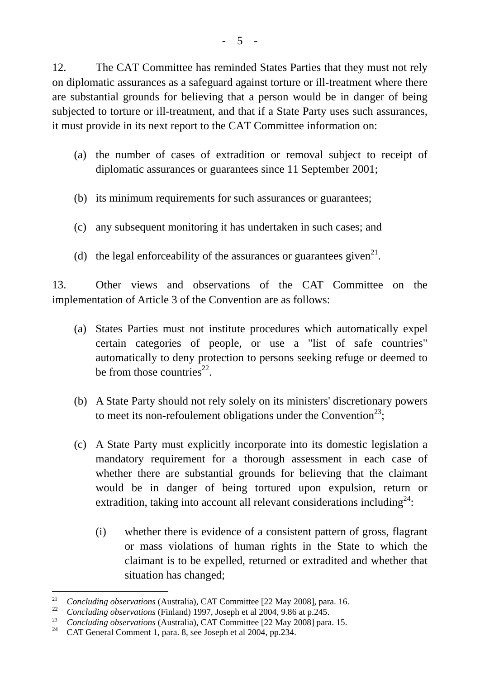12. The CAT Committee has reminded States Parties that they must not rely on diplomatic assurances as a safeguard against torture or ill-treatment where there are substantial grounds for believing that a person would be in danger of being subjected to torture or ill-treatment, and that if a State Party uses such assurances, it must provide in its next report to the CAT Committee information on:

- (a) the number of cases of extradition or removal subject to receipt of diplomatic assurances or guarantees since 11 September 2001;
- (b) its minimum requirements for such assurances or guarantees;
- (c) any subsequent monitoring it has undertaken in such cases; and
- (d) the legal enforceability of the assurances or guarantees given<sup>21</sup>.

13. Other views and observations of the CAT Committee on the implementation of Article 3 of the Convention are as follows:

- (a) States Parties must not institute procedures which automatically expel certain categories of people, or use a "list of safe countries" automatically to deny protection to persons seeking refuge or deemed to be from those countries<sup>22</sup>.
- (b) A State Party should not rely solely on its ministers' discretionary powers to meet its non-refoulement obligations under the Convention<sup>23</sup>;
- (c) A State Party must explicitly incorporate into its domestic legislation a mandatory requirement for a thorough assessment in each case of whether there are substantial grounds for believing that the claimant would be in danger of being tortured upon expulsion, return or extradition, taking into account all relevant considerations including $24$ :
	- (i) whether there is evidence of a consistent pattern of gross, flagrant or mass violations of human rights in the State to which the claimant is to be expelled, returned or extradited and whether that situation has changed;

l

<sup>21</sup> *Concluding observations* (Australia), CAT Committee [22 May 2008], para. 16.

<sup>&</sup>lt;sup>22</sup> Concluding observations (Finland) 1997, Joseph et al 2004, 9.86 at p.245.<br><sup>23</sup> *Concluding observations* (Australia), CAT Committee [22 May 2008] para. 15.<br><sup>24</sup> CAT Concrol Comment 1, para. 8, see Joseph et al 2004, p

<sup>24</sup> CAT General Comment 1, para. 8, see Joseph et al 2004, pp.234.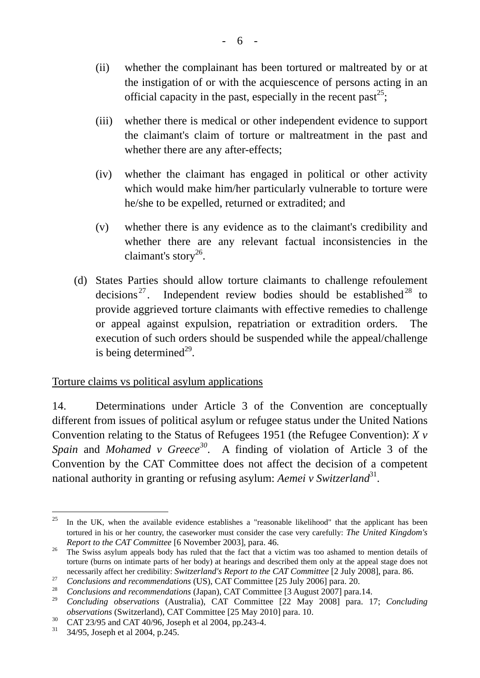- (ii) whether the complainant has been tortured or maltreated by or at the instigation of or with the acquiescence of persons acting in an official capacity in the past, especially in the recent past<sup>25</sup>;
- (iii) whether there is medical or other independent evidence to support the claimant's claim of torture or maltreatment in the past and whether there are any after-effects;
- (iv) whether the claimant has engaged in political or other activity which would make him/her particularly vulnerable to torture were he/she to be expelled, returned or extradited; and
- (v) whether there is any evidence as to the claimant's credibility and whether there are any relevant factual inconsistencies in the claimant's story<sup>26</sup>.
- (d) States Parties should allow torture claimants to challenge refoulement decisions<sup>27</sup>. Independent review bodies should be established<sup>28</sup> to provide aggrieved torture claimants with effective remedies to challenge or appeal against expulsion, repatriation or extradition orders. The execution of such orders should be suspended while the appeal/challenge is being determined $^{29}$ .

## Torture claims vs political asylum applications

14. Determinations under Article 3 of the Convention are conceptually different from issues of political asylum or refugee status under the United Nations Convention relating to the Status of Refugees 1951 (the Refugee Convention): *X v Spain* and *Mohamed v Greece<sup>30</sup>*. A finding of violation of Article 3 of the Convention by the CAT Committee does not affect the decision of a competent national authority in granting or refusing asylum: *Aemei v Switzerland*<sup>31</sup>.

 $\overline{a}$ 

<sup>&</sup>lt;sup>25</sup> In the UK, when the available evidence establishes a "reasonable likelihood" that the applicant has been tortured in his or her country, the caseworker must consider the case very carefully: *The United Kingdom's* 

*Report to the CAT Committee* [6 November 2003], para. 46.<br><sup>26</sup> The Swiss asylum appeals body has ruled that the fact that a victim was too ashamed to mention details of torture (burns on intimate parts of her body) at hearings and described them only at the appeal stage does not necessarily affect her credibility: *Switzerland's Report to the CAT Committee* [2 July 2008], para. 86.<br> *Conclusions and recommendations* (US), CAT Committee [25 July 2006] para. 20.

<sup>28</sup> *Conclusions and recommendations* (Japan), CAT Committee [3 August 2007] para.14.

<sup>29</sup> *Concluding observations* (Australia), CAT Committee [22 May 2008] para. 17; *Concluding observations* (Switzerland), CAT Committee [25 May 2010] para. 10.

<sup>&</sup>lt;sup>30</sup> CAT 23/95 and CAT 40/96, Joseph et al 2004, pp.243-4.<br><sup>31</sup> 34/95, Joseph et al 2004, p.245

<sup>31 34/95,</sup> Joseph et al 2004, p.245.